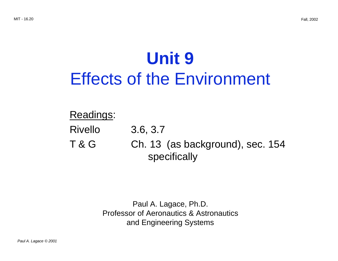# **Unit 9**  Effects of the Environment

# Readings:

- Rivello 3.6, 3.7
- T & G Ch. 13 (as background), sec. 154 specifically

Paul A. Lagace, Ph.D. Professor of Aeronautics & Astronautics and Engineering Systems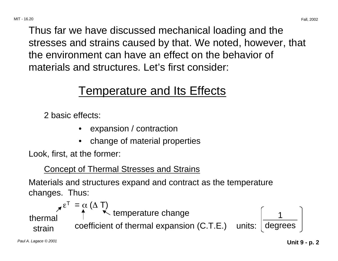Thus far we have discussed mechanical loading and the stresses and strains caused by that. We noted, however, that the environment can have an effect on the behavior of materials and structures. Let's first consider:

# Temperature and Its Effects

2 basic effects:

- expansion / contraction
- change of material properties

Look, first, at the former:

# Concept of Thermal Stresses and Strains

Materials and structures expand and contract as the temperature changes. Thus:

$$
\chi^{\varepsilon^{\mathsf{T}}} = \underset{\text{strain}}{\overset{\alpha}{\uparrow}} (\Delta \top)
$$
\ntemperature change  
\nstrain coefficient of thermal expansion (C.T.E.) units:  $\begin{bmatrix} 1 \\ \text{degrees} \end{bmatrix}$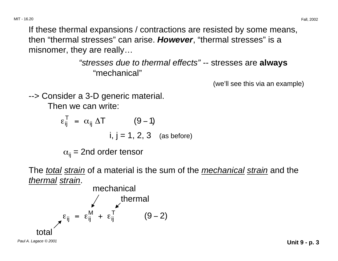If these thermal expansions / contractions are resisted by some means, then "thermal stresses" can arise. **However**, "thermal stresses" is a misnomer, they are really…

> "stresses due to thermal effects" -- stresses are **always**  "mechanical"

> > (we'll see this via an example)

--> Consider a 3-D generic material.

Then we can write:

$$
\varepsilon_{ij}^{T} = \alpha_{ij} \Delta T
$$
 (9-1)  
i, j = 1, 2, 3 (as before)

 $\alpha_{ii}$  = 2nd order tensor

The *total strain* of a material is the sum of the *mechanical strain* and the thermal strain.

mechanical  
\n
$$
\kappa_{ij} = \varepsilon_{ij}^{M} + \varepsilon_{ij}^{T}
$$
\n(9-2)  
\ntotal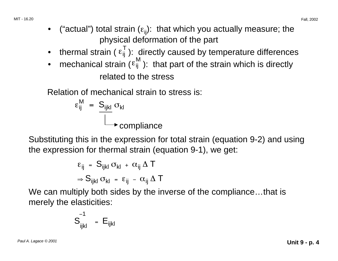- thermal strain ( $\epsilon_{ij}^T$ ): directly caused by temperature differences
- mechanical strain ( $\epsilon_{ij}^{M}$ ): that part of the strain which is directly related to the stress

Relation of mechanical strain to stress is:

$$
\varepsilon_{ij}^{M} = \frac{S_{ijkl}}{\square} \sigma_{kl}
$$
 **compliance**

Substituting this in the expression for total strain (equation 9-2) and using the expression for thermal strain (equation 9-1), we get:

$$
\begin{aligned} \epsilon_{ij} \;&=\; S_{ijkl} \; \sigma_{kl} \; + \; \alpha_{ij} \; \Delta \; T \\ \Rightarrow S_{ijkl} \; \sigma_{kl} \; = \; \epsilon_{ij} \; - \; \alpha_{ij} \; \Delta \; T \end{aligned}
$$

We can multiply both sides by the inverse of the compliance...that is merely the elasticities:

$$
S_{ijkl}^{-1} = E_{ijkl}
$$

Paul A. Lagace © 2001 **Unit 9 - p. 4**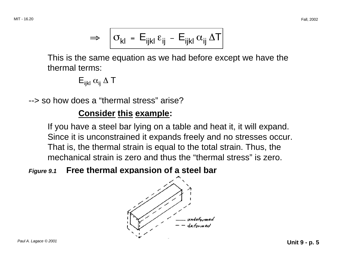$$
\Rightarrow \left| \sigma_{kl} - E_{ijkl} \epsilon_{ij} - E_{ijkl} \alpha_{ij} \Delta T \right|
$$

This is the same equation as we had before except we have the thermal terms:

$$
\mathsf{E}_{\mathsf{i}\mathsf{j}\mathsf{k}\mathsf{l}}\;\alpha_{\mathsf{i}\mathsf{j}}\;\Delta\;\mathsf{T}
$$

--> so how does a "thermal stress" arise?

# **Consider this example:**

If you have a steel bar lying on a table and heat it, it will expand. Since it is unconstrained it expands freely and no stresses occur. That is, the thermal strain is equal to the total strain. Thus, the mechanical strain is zero and thus the "thermal stress" is zero.

# **Figure 9.1 Free thermal expansion of a steel bar**

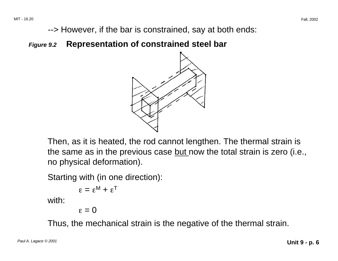--> However, if the bar is constrained, say at both ends:

**Figure 9.2 Representation of constrained steel bar** 



Then, as it is heated, the rod cannot lengthen. The thermal strain is the same as in the previous case but now the total strain is zero (i.e., no physical deformation).

Starting with (in one direction):

```
\varepsilon = \varepsilon^M + \varepsilon^T
```
with:

 $\varepsilon = 0$ 

Thus, the mechanical strain is the negative of the thermal strain.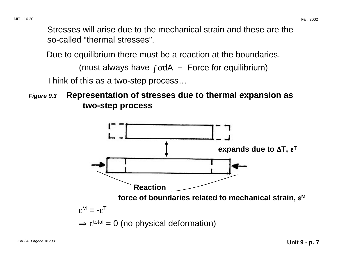Stresses will arise due to the mechanical strain and these are the so-called "thermal stresses".

Due to equilibrium there must be a reaction at the boundaries.

(must always have  $\int \text{odA} = \text{Force}$  for equilibrium)

Think of this as a two-step process…

**Figure 9.3 Representation of stresses due to thermal expansion as two-step process** 

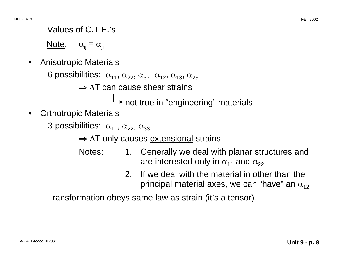#### Values of C.T.E.'s

Note:  $\alpha_{ij} = \alpha_{ji}$ 

• Anisotropic Materials

6 possibilities:  $\alpha_{11}$ ,  $\alpha_{22}$ ,  $\alpha_{33}$ ,  $\alpha_{12}$ ,  $\alpha_{13}$ ,  $\alpha_{23}$ 

 $\Rightarrow$   $\wedge$ T can cause shear strains

 $\rightarrow$  not true in "engineering" materials

• Orthotropic Materials

3 possibilities:  $\alpha_{11}$ ,  $\alpha_{22}$ ,  $\alpha_{33}$ 

 $\Rightarrow$  ΔT only causes extensional strains

- Notes: 1. Generally we deal with planar structures and are interested only in  $\alpha_{11}$  and  $\alpha_{22}$ 
	- 2. If we deal with the material in other than the principal material axes, we can "have" an  $\alpha_{12}$

Transformation obeys same law as strain (it's a tensor).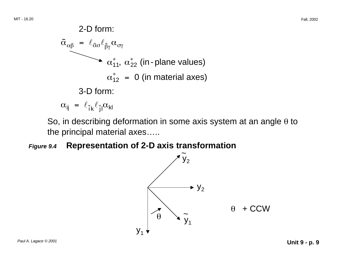2-D form:  
\n
$$
\tilde{\alpha}_{\alpha\beta} = \ell_{\tilde{\alpha}\sigma} \ell_{\tilde{\beta}\gamma} \alpha_{\sigma\gamma}
$$
\n
$$
\alpha_{11}^*, \alpha_{22}^* \text{ (in-plane values)}
$$
\n
$$
\alpha_{12}^* = 0 \text{ (in material axes)}
$$
\n3-D form:  
\n
$$
\alpha_{ij} = \ell_{\tilde{i}k} \ell_{\tilde{j}l} \alpha_{kl}
$$

So, in describing deformation in some axis system at an angle  $\theta$  to the principal material axes…..

#### **Figure 9.4 Representation of 2-D axis transformation**

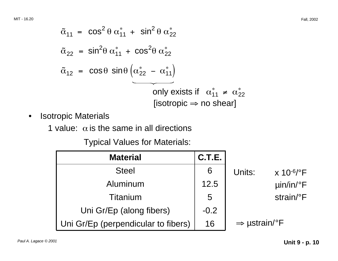$$
\tilde{\alpha}_{11} = \cos^2 \theta \alpha_{11}^* + \sin^2 \theta \alpha_{22}^*
$$
\n
$$
\tilde{\alpha}_{22} = \sin^2 \theta \alpha_{11}^* + \cos^2 \theta \alpha_{22}^*
$$
\n
$$
\tilde{\alpha}_{12} = \cos \theta \sin \theta \left( \alpha_{22}^* - \alpha_{11}^* \right)
$$
\nonly exists if  $\alpha_{11}^* \neq \alpha_{22}^*$  [isotropic  $\Rightarrow$  no shear]

- • Isotropic Materials
	- 1 value:  $\alpha$  is the same in all directions

Typical Values for Materials:

| <b>Material</b>                     | C.T.E. |                                                 |
|-------------------------------------|--------|-------------------------------------------------|
| <b>Steel</b>                        | 6      | Units:<br>$\times$ 10 <sup>-6</sup> / $\rm{°F}$ |
| Aluminum                            | 12.5   | $\mu$ in/in/°F                                  |
| Titanium                            | 5      | strain/°F                                       |
| Uni Gr/Ep (along fibers)            | $-0.2$ |                                                 |
| Uni Gr/Ep (perpendicular to fibers) | 16     | $\Rightarrow$ µstrain/°F                        |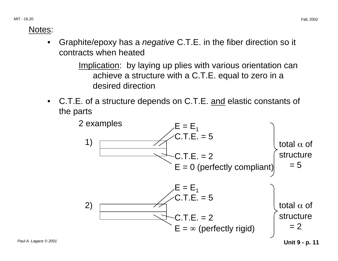#### Notes:

Graphite/epoxy has a *negative* C.T.E. in the fiber direction so it contracts when heated

> Implication: by laying up plies with various orientation can achieve a structure with a C.T.E. equal to zero in a desired direction

• C.T.E. of a structure depends on C.T.E. and elastic constants of the parts

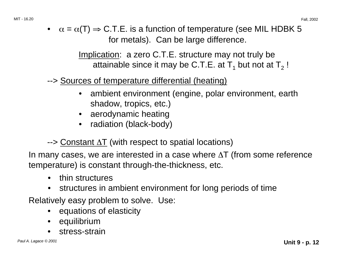•  $\alpha = \alpha(T) \Rightarrow C.T.E.$  is a function of temperature (see MIL HDBK 5 for metals). Can be large difference.

> Implication: a zero C.T.E. structure may not truly be attainable since it may be C.T.E. at  $T_1$  but not at  $T_2$ !

--> Sources of temperature differential (heating)

- ambient environment (engine, polar environment, earth shadow, tropics, etc.)
- aerodynamic heating
- radiation (black-body)
- --> Constant ∆T (with respect to spatial locations)

In many cases, we are interested in a case where ∆T (from some reference temperature) is constant through-the-thickness, etc.

- thin structures
- structures in ambient environment for long periods of time

Relatively easy problem to solve. Use:

- equations of elasticity
- equilibrium
- stress-strain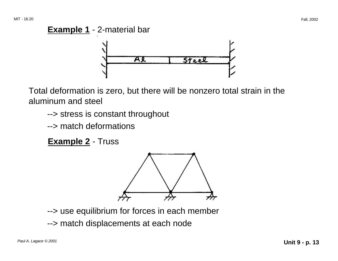

Total deformation is zero, but there will be nonzero total strain in the aluminum and steel

- --> stress is constant throughout
- --> match deformations

**Example 2** - Truss



- --> use equilibrium for forces in each member
- --> match displacements at each node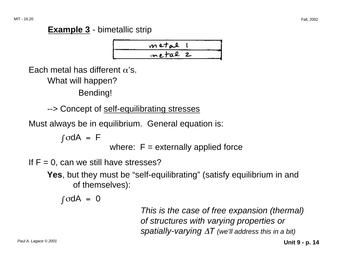# **Example 3** - bimetallic strip



Each metal has different  $\alpha$ 's.

What will happen?

Bending!

--> Concept of self-equilibrating stresses

Must always be in equilibrium. General equation is:

 $\int \sigma dA = F$ 

where:  $F =$  externally applied force

If  $F = 0$ , can we still have stresses?

**Yes**, but they must be "self-equilibrating" (satisfy equilibrium in and of themselves):

 $\int \sigma dA = 0$ 

This is the case of free expansion (thermal) of structures with varying properties or spatially-varying  $\Delta T$  (we'll address this in a bit)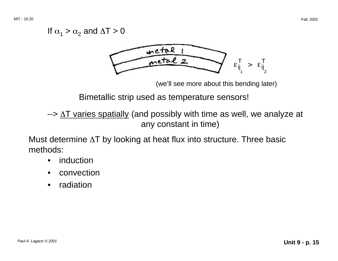### If  $\alpha_1 > \alpha_2$  and  $\Delta T > 0$



(we'll see more about this bending later)

Bimetallic strip used as temperature sensors!

--> ∆T varies spatially (and possibly with time as well, we analyze at any constant in time)

Must determine ∆T by looking at heat flux into structure. Three basic methods:

- *induction*
- convection
- radiation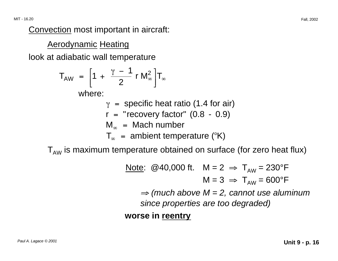Convection most important in aircraft:

Aerodynamic Heating

look at adiabatic wall temperature

$$
T_{AW} = \left[1 + \frac{\gamma - 1}{2} r M_{\infty}^2\right]T_{\infty}
$$

where:

- $\gamma$  = specific heat ratio (1.4 for air)
- $r =$  "recovery factor"  $(0.8 0.9)$
- $\mathsf{M}_\infty$  = Mach number
- ${\sf T}_\infty$  = ambient temperature (°K)

 $T_{AW}$  is maximum temperature obtained on surface (for zero heat flux)

Note: @40,000 ft. 
$$
M = 2 \Rightarrow T_{AW} = 230^\circ F
$$

\n $M = 3 \Rightarrow T_{AW} = 600^\circ F$ 

\n $\Rightarrow$  (much above  $M = 2$ , cannot use aluminum since properties are too degraded)

\n **worse in reentry**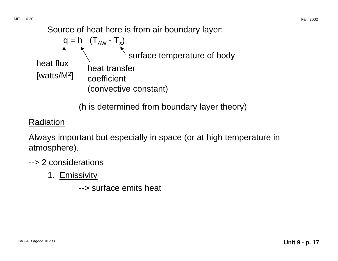Source of heat here is from air boundary layer:

q = h (TAW - Ts) surface temperature of body heat flux heat transfer [watts/M2] coefficient (convective constant)

(h is determined from boundary layer theory)

### **Radiation**

Always important but especially in space (or at high temperature in atmosphere).

- --> 2 considerations
	- 1. Emissivity
		- --> surface emits heat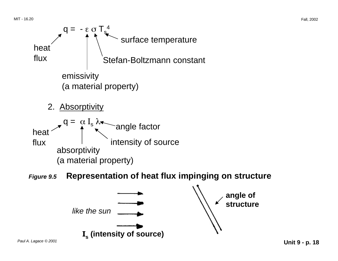

Paul A. Lagace © 2001 **Unit 9 - p. 18**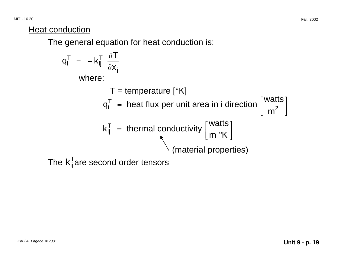**Heat conduction** 

The general equation for heat conduction is:

$$
q_i^T = -k_{ij}^T \frac{\partial T}{\partial x_j}
$$
  
where:  

$$
T = \text{temperature } [{}^{\circ}K]
$$

$$
q_i^T = \text{heat flux per unit area in i direction } \left[\frac{\text{watts}}{m^2}\right]
$$

$$
k_{ij}^T = \text{thermal conductivity } \left[\frac{\text{watts}}{m {}^{\circ}K}\right]
$$
  
The  $k_{ij}^T$  are second order tensors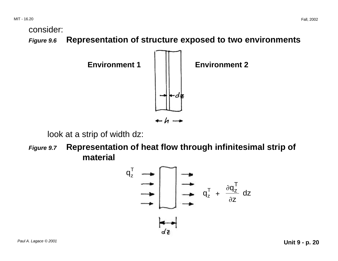consider:

**Figure 9.6 Representation of structure exposed to two environments**



look at a strip of width dz:

**Figure 9.7 Representation of heat flow through infinitesimal strip of material** 

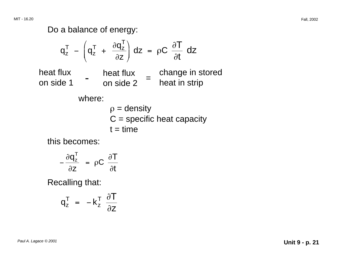Do a balance of energy:

$$
q_{z}^{T} - \left(q_{z}^{T} + \frac{\partial q_{z}^{T}}{\partial z}\right) dz = \rho C \frac{\partial T}{\partial t} dz
$$
  
heat flux heat flux on side 1 - heat flux on side 2 = change in stored  
where:  

$$
\rho = density
$$

$$
C = specific heat capacity
$$

$$
t = time
$$

this becomes:

$$
-\frac{\partial q_z^T}{\partial z} = \rho C \frac{\partial T}{\partial t}
$$

Recalling that:

$$
q_z^T = -k_z^T \frac{\partial T}{\partial z}
$$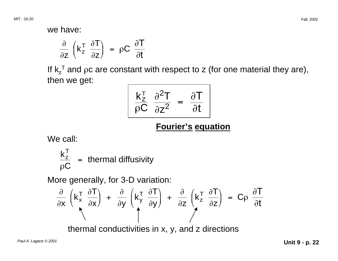we have:

$$
\frac{\partial}{\partial z} \left( k_z^T \frac{\partial T}{\partial z} \right) = \rho C \frac{\partial T}{\partial t}
$$

If  $k_z$ <sup>T</sup> and  $\rho c$  are constant with respect to z (for one material they are), then we get:

$$
\frac{k_{z}^{T}}{\rho C} \frac{\partial^{2} T}{\partial z^{2}} = \frac{\partial T}{\partial t}
$$

# **Fourier's equation**

We call:

$$
\frac{k_{z}^{T}}{\rho C} = \text{thermal diffusivity}
$$

More generally, for 3-D variation:

$$
\frac{\partial}{\partial x}\left(k_x^T \frac{\partial T}{\partial x}\right) + \frac{\partial}{\partial y}\left(k_y^T \frac{\partial T}{\partial y}\right) + \frac{\partial}{\partial z}\left(k_z^T \frac{\partial T}{\partial z}\right) = C\rho \frac{\partial T}{\partial t}
$$

thermal conductivities in x, y, and z directions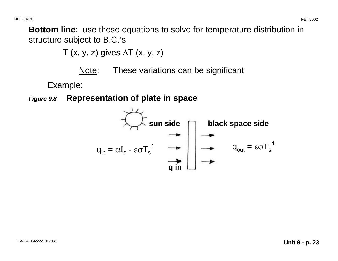**Bottom line**: use these equations to solve for temperature distribution in structure subject to B.C.'s

T (x, y, z) gives  $\Delta T$  (x, y, z)

Note: These variations can be significant

Example:

**Figure 9.8 Representation of plate in space** 

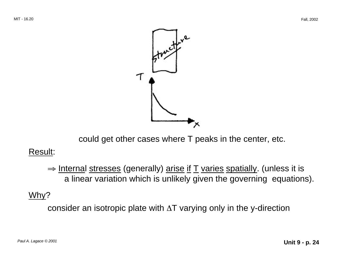

could get other cases where T peaks in the center, etc.

#### Result:

⇒ Internal stresses (generally) arise if T varies spatially. (unless it is a linear variation which is unlikely given the governing equations).

# Why?

consider an isotropic plate with ∆T varying only in the y-direction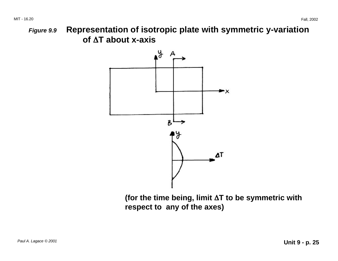MIT - 16.20 Fall, 2002

∆ **of** ∆**T about x-axis Figure 9.9 Representation of isotropic plate with symmetric y-variation** 



∆ **(for the time being, limit** ∆**T to be symmetric with respect to any of the axes)**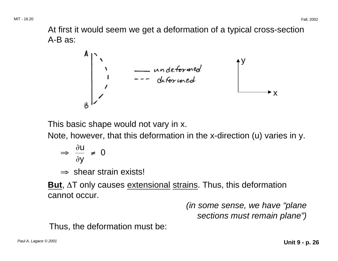MIT - 16.20 Fall, 2002

At first it would seem we get a deformation of a typical cross-section A-B as:

$$
\begin{array}{c}\nA \\
\uparrow \\
\downarrow \\
B\n\end{array}
$$

This basic shape would not vary in x.

Note, however, that this deformation in the x-direction (u) varies in y.

$$
\Rightarrow \frac{\partial u}{\partial y} \neq 0
$$

<sup>⇒</sup> shear strain exists!

**But**, ∆T only causes extensional strains. Thus, this deformation cannot occur.

> (in some sense, we have "plane sections must remain plane")

Thus, the deformation must be: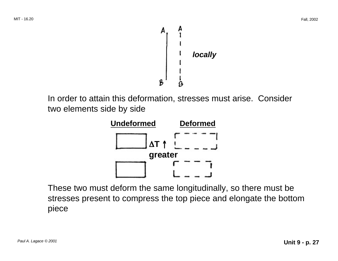

In order to attain this deformation, stresses must arise. Consider two elements side by side



These two must deform the same longitudinally, so there must be stresses present to compress the top piece and elongate the bottom piece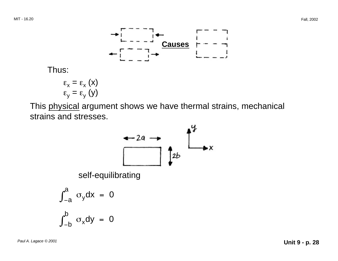

Thus:

$$
\varepsilon_{x} = \varepsilon_{x} (x)
$$

$$
\varepsilon_{y} = \varepsilon_{y} (y)
$$

This physical argument shows we have thermal strains, mechanical strains and stresses.

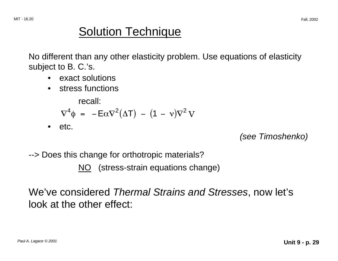# Solution Technique

No different than any other elasticity problem. Use equations of elasticity subject to B. C.'s.

- exact solutions
- stress functions

recall:

$$
\nabla^4 \phi = -E\alpha \nabla^2 (\Delta T) - (1 - \nu)\nabla^2 V
$$

• etc.

(see Timoshenko)

--> Does this change for orthotropic materials?

NO (stress-strain equations change)

We've considered Thermal Strains and Stresses, now let's look at the other effect: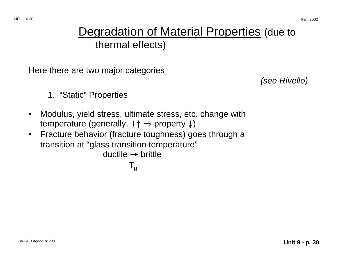# Degradation of Material Properties (due to thermal effects)

Here there are two major categories

(see Rivello)

- 1. "Static" Properties
- Modulus, yield stress, ultimate stress, etc. change with temperature (generally, T↑ <sup>⇒</sup> property ↓)
- Fracture behavior (fracture toughness) goes through a transition at "glass transition temperature"

```
ductile \rightarrow brittle
```
 $T_{\rm g}$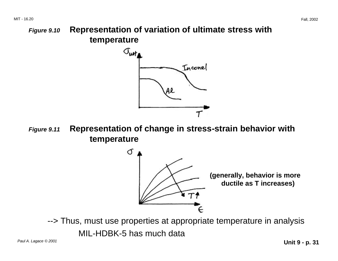**Figure 9.10 Representation of variation of ultimate stress with temperature** 



**Figure 9.11 Representation of change in stress-strain behavior with temperature** 



--> Thus, must use properties at appropriate temperature in analysis

MIL-HDBK-5 has much data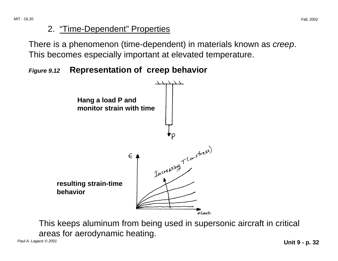### 2. "Time-Dependent" Properties

There is a phenomenon (time-dependent) in materials known as *creep*. This becomes especially important at elevated temperature.

# **Figure 9.12 Representation of creep behavior**



This keeps aluminum from being used in supersonic aircraft in critical areas for aerodynamic heating.

Paul A. Lagace © 2001 **Unit 9 - p. 32**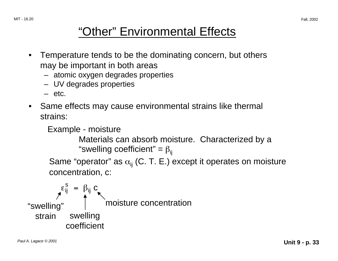# "Other" Environmental Effects

- Temperature tends to be the dominating concern, but others may be important in both areas
	- atomic oxygen degrades properties
	- UV degrades properties
	- $-$  etc.
- Same effects may cause environmental strains like thermal strains:

```
Example - moisture 
         Materials can absorb moisture. Characterized by a 
         "swelling coefficient" = \beta_{ii}Same "operator" as \alpha_{ii} (C. T. E.) except it operates on moisture
concentration, c:
```
 $\varepsilon_{ij}^{\texttt{S}}$  =  $\beta_{ij}$  C "swelling" moisture concentration strain swelling coefficient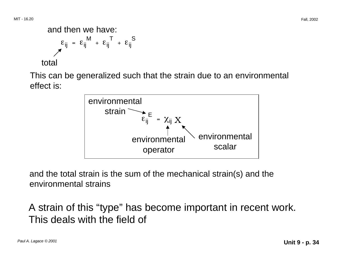#### and then we have:  $\epsilon_{\text{ij}}$  =  $\epsilon_{\text{ij}}$ M <sup>+</sup> <sup>ε</sup>ij  $T + \varepsilon_{ij}$ S total

This can be generalized such that the strain due to an environmental effect is:



and the total strain is the sum of the mechanical strain(s) and the environmental strains

A strain of this "type" has become important in recent work. This deals with the field of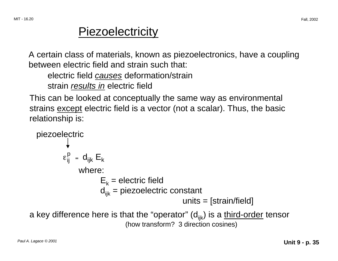# **Piezoelectricity**

A certain class of materials, known as piezoelectronics, have a coupling between electric field and strain such that:

electric field causes deformation/strain

strain *results in* electric field

This can be looked at conceptually the same way as environmental strains except electric field is a vector (not a scalar). Thus, the basic relationship is:

```
piezoelectric 
         \varepsilon_{ii}^p = d_{ijk} E_kwhere: 
                       E_k = electric field
                       d_{iik} = piezoelectric constant
                                                     units = [strain/field]
```
a key difference here is that the "operator"  $(d_{iik})$  is a third-order tensor (how transform? 3 direction cosines)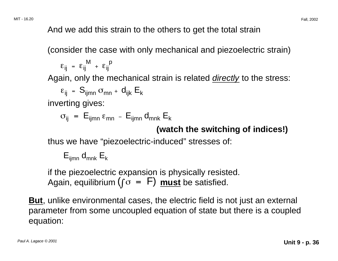And we add this strain to the others to get the total strain

(consider the case with only mechanical and piezoelectric strain)

$$
\epsilon_{ij}~=~\epsilon_{ij}^{~M}~+~\epsilon_{ij}^{~p}
$$

Again, only the mechanical strain is related *directly* to the stress:

$$
\varepsilon_{ij} = S_{ijmn} \sigma_{mn} + d_{ijk} E_k
$$

inverting gives:

$$
\sigma_{ij} = E_{ijmn} \, \epsilon_{mn} - E_{ijmn} \, d_{mnk} \, E_k
$$

### **(watch the switching of indices!)**

thus we have "piezoelectric-induced" stresses of:

$$
\mathsf{E}_{ijmn} \, d_{mnk} \, \mathsf{E}_k
$$

if the piezoelectric expansion is physically resisted. Again, equilibrium  $(f \circ = F)$  must be satisfied.

**But**, unlike environmental cases, the electric field is not just an external parameter from some uncoupled equation of state but there is a coupled equation: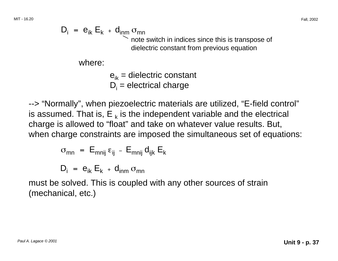$$
D_i = e_{ik} E_k + d_{inm} \sigma_{mn}
$$
  
note switch in indices since this is transpose of dielectric constant from previous equation

where:

$$
e_{ik}
$$
 = dielectric constant  
D<sub>i</sub> = electrical charge

--> "Normally", when piezoelectric materials are utilized, "E-field control" is assumed. That is,  $E_{k}$  is the independent variable and the electrical charge is allowed to "float" and take on whatever value results. But, when charge constraints are imposed the simultaneous set of equations:

$$
\sigma_{mn} = E_{mnij} \varepsilon_{ij} - E_{mnij} d_{ijk} E_k
$$

$$
D_i = e_{ik} E_k + d_{inm} \sigma_{mn}
$$

must be solved. This is coupled with any other sources of strain (mechanical, etc.)